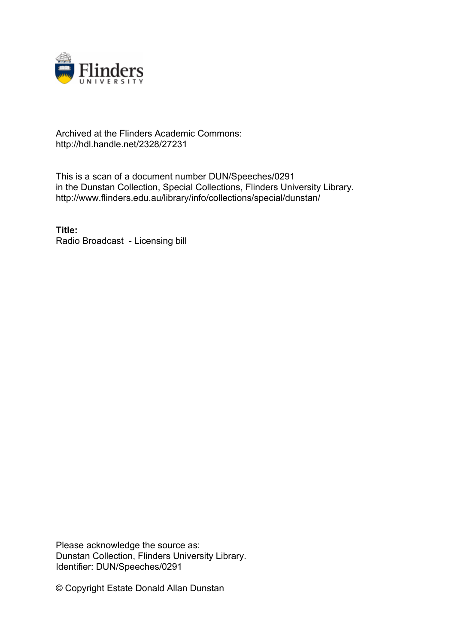

## Archived at the Flinders Academic Commons: http://hdl.handle.net/2328/27231

This is a scan of a document number DUN/Speeches/0291 in the Dunstan Collection, Special Collections, Flinders University Library. http://www.flinders.edu.au/library/info/collections/special/dunstan/

**Title:** Radio Broadcast - Licensing bill

Please acknowledge the source as: Dunstan Collection, Flinders University Library. Identifier: DUN/Speeches/0291

© Copyright Estate Donald Allan Dunstan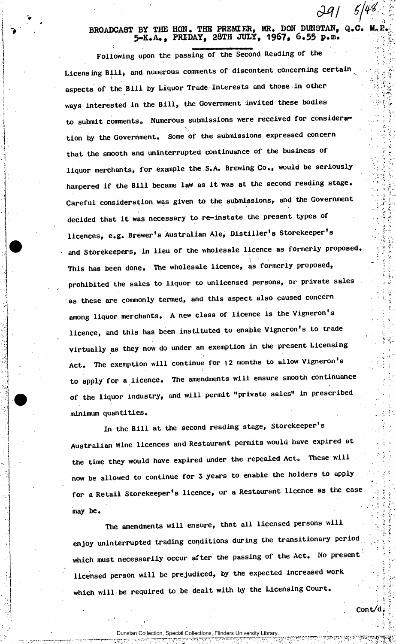## $\check{ }$   $\prime$   $\dot{ }$ **BROADCAST BY THE HON. THE PREMIER, MR. DON DUN3TAN, Q.C. 5-K.A,, FRIDAY, 2QTH JULY, 1967, 6.55 P\*m.**

Following upon the passing of the Second Reading of the Licensing Bill, and numerous comments of discontent concerning certain aspects of the Bill by Liquor Trade Interests and those in other ways interested in the Bill, the Government invited these bodies to submit comments. Numerous submissions were received for consideration by the Government. Some of the submissions expressed concern that the smooth and uninterrupted continuance of the business of liquor merchants, for example the S.A. Brewing Co., would be seriously hampered if the Bill became law as it was at the second reading stage. Careful consideration was given to the submissions, and the Government decided that it was necessary to re-instate the present types of licences, e.g. Brewer's Australian Ale, Distiller's Storekeeper's and Storekeepers, in lieu of the wholesale licence as formerly proposed. This has been done. The wholesale licence, as formerly proposed, prohibited the sales to liquor to unlicensed persons, or private sales as these are commonly termed, and this aspect also caused concern among liquor merchants. A new class of licence is the Vigneron's licence, and this has been instituted to enable Vigneron's to trade virtually as they now do under an exemption in the present Licensing Act. The exemption will continue for 12 months to allow Vigneron's to apply for a licence. The amendments will ensure smooth continuance of the liquor industry, and will permit "private sales" in prescribed minimum quantities.

In the Bill at the second reading stage, Storekeeper's Australian Wine licences and Restaurant permits would have expired at the time they would have expired under the repealed Act. These will now be allowed to continue for 3 years to enable the holders to apply for a Retail Storekeeper's licence, or a Restaurant licence as the case may be.

The amendments will ensure, that all licensed persons will enjoy uninterrupted trading conditions during the transitionary period which must necessarily occur after the passing of the Act. No present licensed person will be prejudiced, by the expected increased work which will be required to be dealt with by the Licensing Court.

Dunstan Collection, Special Collections, Flinders University L

Cont/d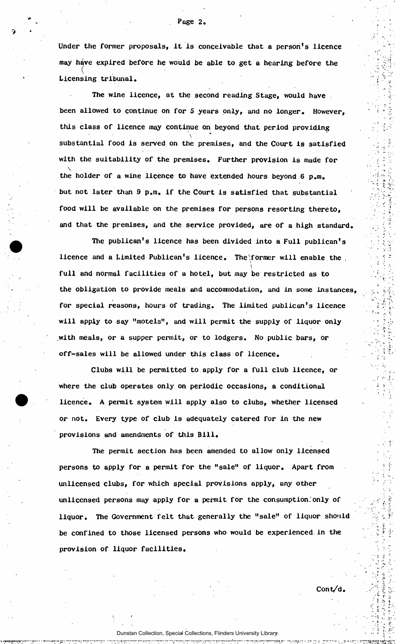Under the former proposals, it is conceivable that a person's licence may have expired before he would be able to get a hearing before the Licensing tribunal.

The wine licence, at the second reading Stage, would have been allowed to continue on for 5 years only, and no longer. However, this class of licence may continue on beyond that period providing  $\Delta_{\rm{eff}}$ substantial food is served on the premises, and the Court is satisfied with the suitability of the premises. Further provision is made for **\**  the holder of a wine licence to have extended hours beyond  $\mathcal{C}$  and  $\mathcal{C}$ food will be available on the premises for persons resorting thereto, and that the premises, and the service provided, are of a high standard.

 $T$  is publicant into a  $T$ ubican's been divided into a  $\mathcal{F}$  licence has been divided into a  $\mathcal{F}$ licence and a Limited Publican's licence. The  $\frac{1}{\sqrt{2}}$ full and normal facilities of a hotel, but may be restricted as to the obligation to provide meals and accommodation, and in some instances. for special reasons, hours of trading. The limited publican's licence will apply to say "motels", and will permit the supply of liquor only with meals, or a supper permit, or to lodgers. No public bars, or off-sales will be allowed under this class of licence.

Clubs will be permitted to apply for a full club licence, or where the club operates only on periodic occasions, a conditional licence. A permit system will apply also to clubs, whether licensed or not. Every type of club is adequately catered for in the new provisions and amendments of this Bill.

The permit section has been amended to allow only licensed persons to apply for a permit for the "sale" of liquor. Apart from unlicensed clubs, for which special provisions apply, any other unlicensed persons may apply for a permit for the consumption. only of liquor. The Government felt that generally the "sale" of liquor should be confined to those licensed persons who would be experienced in the provision of liquor facilities.

Cont/d.